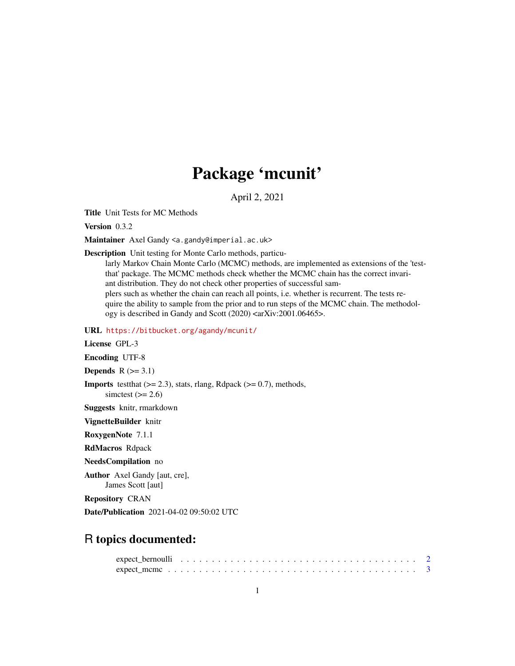## Package 'mcunit'

April 2, 2021

Title Unit Tests for MC Methods

Version 0.3.2

Maintainer Axel Gandy <a.gandy@imperial.ac.uk>

Description Unit testing for Monte Carlo methods, particu-

larly Markov Chain Monte Carlo (MCMC) methods, are implemented as extensions of the 'testthat' package. The MCMC methods check whether the MCMC chain has the correct invariant distribution. They do not check other properties of successful samplers such as whether the chain can reach all points, i.e. whether is recurrent. The tests require the ability to sample from the prior and to run steps of the MCMC chain. The methodology is described in Gandy and Scott (2020) <arXiv:2001.06465>.

URL <https://bitbucket.org/agandy/mcunit/>

License GPL-3

Encoding UTF-8

Depends  $R$  ( $>= 3.1$ )

**Imports** test that  $(>= 2.3)$ , stats, rlang, Rdpack  $(>= 0.7)$ , methods, simctest  $(>= 2.6)$ 

Suggests knitr, rmarkdown

VignetteBuilder knitr

RoxygenNote 7.1.1

RdMacros Rdpack

NeedsCompilation no

Author Axel Gandy [aut, cre], James Scott [aut]

Repository CRAN

Date/Publication 2021-04-02 09:50:02 UTC

### R topics documented: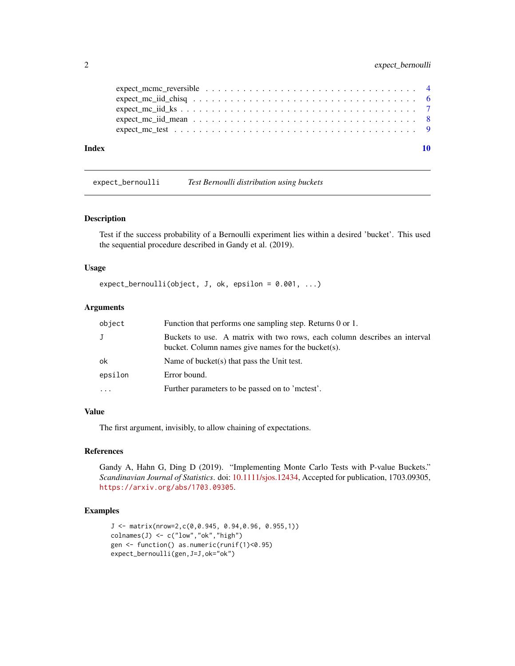<span id="page-1-0"></span>

| Index |                                                                                                       |  |
|-------|-------------------------------------------------------------------------------------------------------|--|
|       |                                                                                                       |  |
|       |                                                                                                       |  |
|       |                                                                                                       |  |
|       |                                                                                                       |  |
|       | expect mcmc reversible $\ldots \ldots \ldots \ldots \ldots \ldots \ldots \ldots \ldots \ldots \ldots$ |  |

expect\_bernoulli *Test Bernoulli distribution using buckets*

#### Description

Test if the success probability of a Bernoulli experiment lies within a desired 'bucket'. This used the sequential procedure described in Gandy et al. (2019).

#### Usage

 $expect\_bernoulli(object, J, ok, epsilon = 0.001, ...)$ 

#### Arguments

| object   | Function that performs one sampling step. Returns 0 or 1.                                                                       |
|----------|---------------------------------------------------------------------------------------------------------------------------------|
| J        | Buckets to use. A matrix with two rows, each column describes an interval<br>bucket. Column names give names for the bucket(s). |
| ok       | Name of bucket(s) that pass the Unit test.                                                                                      |
| epsilon  | Error bound.                                                                                                                    |
| $\cdots$ | Further parameters to be passed on to 'mctest'.                                                                                 |

#### Value

The first argument, invisibly, to allow chaining of expectations.

#### References

Gandy A, Hahn G, Ding D (2019). "Implementing Monte Carlo Tests with P-value Buckets." *Scandinavian Journal of Statistics*. doi: [10.1111/sjos.12434,](https://doi.org/10.1111/sjos.12434) Accepted for publication, 1703.09305, <https://arxiv.org/abs/1703.09305>.

#### Examples

```
J <- matrix(nrow=2,c(0,0.945, 0.94,0.96, 0.955,1))
\text{colnames}(J) \leftarrow c("low", "ok", "high")gen <- function() as.numeric(runif(1)<0.95)
expect_bernoulli(gen,J=J,ok="ok")
```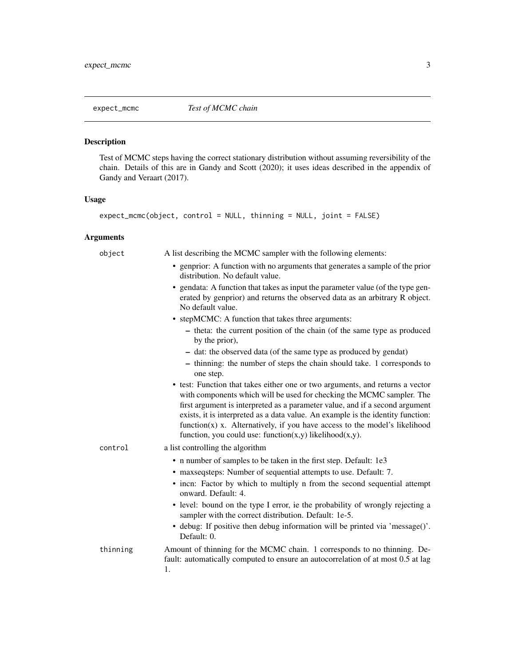<span id="page-2-1"></span><span id="page-2-0"></span>

#### Description

Test of MCMC steps having the correct stationary distribution without assuming reversibility of the chain. Details of this are in Gandy and Scott (2020); it uses ideas described in the appendix of Gandy and Veraart (2017).

#### Usage

```
expect_mcmc(object, control = NULL, thinning = NULL, joint = FALSE)
```
#### Arguments

| object   | A list describing the MCMC sampler with the following elements:                                                                                                                                                                                                                                                                                                                                                                                                             |
|----------|-----------------------------------------------------------------------------------------------------------------------------------------------------------------------------------------------------------------------------------------------------------------------------------------------------------------------------------------------------------------------------------------------------------------------------------------------------------------------------|
|          | • genprior: A function with no arguments that generates a sample of the prior<br>distribution. No default value.                                                                                                                                                                                                                                                                                                                                                            |
|          | • gendata: A function that takes as input the parameter value (of the type gen-<br>erated by genprior) and returns the observed data as an arbitrary R object.<br>No default value.                                                                                                                                                                                                                                                                                         |
|          | • stepMCMC: A function that takes three arguments:                                                                                                                                                                                                                                                                                                                                                                                                                          |
|          | - theta: the current position of the chain (of the same type as produced<br>by the prior),                                                                                                                                                                                                                                                                                                                                                                                  |
|          | - dat: the observed data (of the same type as produced by gendat)                                                                                                                                                                                                                                                                                                                                                                                                           |
|          | - thinning: the number of steps the chain should take. 1 corresponds to<br>one step.                                                                                                                                                                                                                                                                                                                                                                                        |
|          | • test: Function that takes either one or two arguments, and returns a vector<br>with components which will be used for checking the MCMC sampler. The<br>first argument is interpreted as a parameter value, and if a second argument<br>exists, it is interpreted as a data value. An example is the identity function:<br>$function(x)$ x. Alternatively, if you have access to the model's likelihood<br>function, you could use: function $(x,y)$ likelihood $(x,y)$ . |
| control  | a list controlling the algorithm                                                                                                                                                                                                                                                                                                                                                                                                                                            |
|          | • n number of samples to be taken in the first step. Default: 1e3                                                                                                                                                                                                                                                                                                                                                                                                           |
|          | • maxseqsteps: Number of sequential attempts to use. Default: 7.                                                                                                                                                                                                                                                                                                                                                                                                            |
|          | • incn: Factor by which to multiply n from the second sequential attempt<br>onward. Default: 4.                                                                                                                                                                                                                                                                                                                                                                             |
|          | • level: bound on the type I error, ie the probability of wrongly rejecting a<br>sampler with the correct distribution. Default: 1e-5.                                                                                                                                                                                                                                                                                                                                      |
|          | • debug: If positive then debug information will be printed via 'message()'.<br>Default: 0.                                                                                                                                                                                                                                                                                                                                                                                 |
| thinning | Amount of thinning for the MCMC chain. 1 corresponds to no thinning. De-<br>fault: automatically computed to ensure an autocorrelation of at most 0.5 at lag<br>1.                                                                                                                                                                                                                                                                                                          |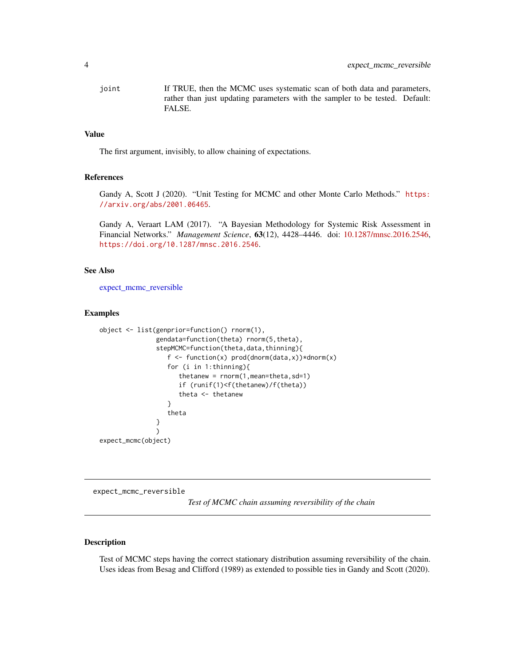<span id="page-3-0"></span>joint If TRUE, then the MCMC uses systematic scan of both data and parameters, rather than just updating parameters with the sampler to be tested. Default: FALSE.

#### Value

The first argument, invisibly, to allow chaining of expectations.

#### References

Gandy A, Scott J (2020). "Unit Testing for MCMC and other Monte Carlo Methods." [https:](https://arxiv.org/abs/2001.06465) [//arxiv.org/abs/2001.06465](https://arxiv.org/abs/2001.06465).

Gandy A, Veraart LAM (2017). "A Bayesian Methodology for Systemic Risk Assessment in Financial Networks." *Management Science*, 63(12), 4428–4446. doi: [10.1287/mnsc.2016.2546,](https://doi.org/10.1287/mnsc.2016.2546) <https://doi.org/10.1287/mnsc.2016.2546>.

#### See Also

[expect\\_mcmc\\_reversible](#page-3-1)

#### Examples

```
object <- list(genprior=function() rnorm(1),
               gendata=function(theta) rnorm(5,theta),
               stepMCMC=function(theta,data,thinning){
                  f \leq function(x) prod(dnorm(data,x))*dnorm(x)
                  for (i in 1:thinning){
                     thetanew = rnorm(1,mean=theta,sd=1)
                     if (runif(1)<f(thetanew)/f(theta))
                     theta <- thetanew
                  }
                  theta
               }
               )
expect_mcmc(object)
```
<span id="page-3-1"></span>expect\_mcmc\_reversible

*Test of MCMC chain assuming reversibility of the chain*

#### Description

Test of MCMC steps having the correct stationary distribution assuming reversibility of the chain. Uses ideas from Besag and Clifford (1989) as extended to possible ties in Gandy and Scott (2020).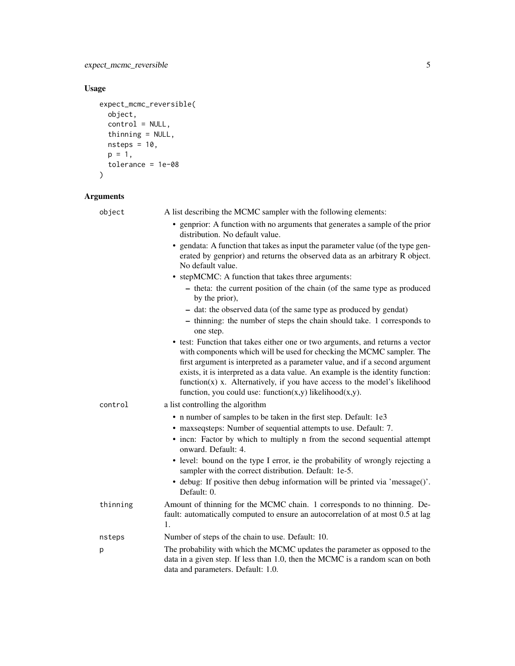#### Usage

```
expect_mcmc_reversible(
  object,
 control = NULL,
  thinning = NULL,
  nsteps = 10,
  p = 1,tolerance = 1e-08
```

```
\mathcal{L}
```
#### Arguments

| object   | A list describing the MCMC sampler with the following elements:                                                                                                                                                                                                                                                                                                                                                                                                             |
|----------|-----------------------------------------------------------------------------------------------------------------------------------------------------------------------------------------------------------------------------------------------------------------------------------------------------------------------------------------------------------------------------------------------------------------------------------------------------------------------------|
|          | • genprior: A function with no arguments that generates a sample of the prior<br>distribution. No default value.                                                                                                                                                                                                                                                                                                                                                            |
|          | • gendata: A function that takes as input the parameter value (of the type gen-<br>erated by genprior) and returns the observed data as an arbitrary R object.<br>No default value.                                                                                                                                                                                                                                                                                         |
|          | • stepMCMC: A function that takes three arguments:                                                                                                                                                                                                                                                                                                                                                                                                                          |
|          | - theta: the current position of the chain (of the same type as produced<br>by the prior),                                                                                                                                                                                                                                                                                                                                                                                  |
|          | - dat: the observed data (of the same type as produced by gendat)                                                                                                                                                                                                                                                                                                                                                                                                           |
|          | - thinning: the number of steps the chain should take. 1 corresponds to<br>one step.                                                                                                                                                                                                                                                                                                                                                                                        |
|          | • test: Function that takes either one or two arguments, and returns a vector<br>with components which will be used for checking the MCMC sampler. The<br>first argument is interpreted as a parameter value, and if a second argument<br>exists, it is interpreted as a data value. An example is the identity function:<br>$function(x)$ x. Alternatively, if you have access to the model's likelihood<br>function, you could use: function $(x,y)$ likelihood $(x,y)$ . |
| control  | a list controlling the algorithm                                                                                                                                                                                                                                                                                                                                                                                                                                            |
|          | • n number of samples to be taken in the first step. Default: 1e3                                                                                                                                                                                                                                                                                                                                                                                                           |
|          | • maxseqsteps: Number of sequential attempts to use. Default: 7.                                                                                                                                                                                                                                                                                                                                                                                                            |
|          | • incn: Factor by which to multiply n from the second sequential attempt<br>onward. Default: 4.                                                                                                                                                                                                                                                                                                                                                                             |
|          | • level: bound on the type I error, ie the probability of wrongly rejecting a<br>sampler with the correct distribution. Default: 1e-5.                                                                                                                                                                                                                                                                                                                                      |
|          | • debug: If positive then debug information will be printed via 'message()'.<br>Default: 0.                                                                                                                                                                                                                                                                                                                                                                                 |
| thinning | Amount of thinning for the MCMC chain. 1 corresponds to no thinning. De-<br>fault: automatically computed to ensure an autocorrelation of at most 0.5 at lag<br>1.                                                                                                                                                                                                                                                                                                          |
| nsteps   | Number of steps of the chain to use. Default: 10.                                                                                                                                                                                                                                                                                                                                                                                                                           |
| р        | The probability with which the MCMC updates the parameter as opposed to the<br>data in a given step. If less than 1.0, then the MCMC is a random scan on both<br>data and parameters. Default: 1.0.                                                                                                                                                                                                                                                                         |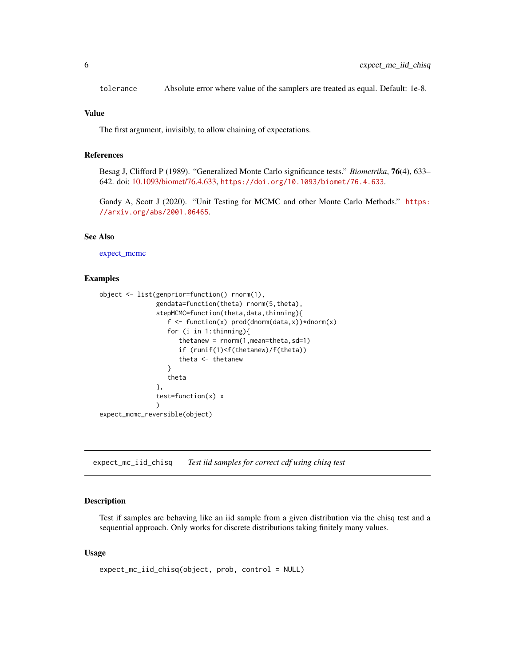<span id="page-5-0"></span>tolerance Absolute error where value of the samplers are treated as equal. Default: 1e-8.

#### Value

The first argument, invisibly, to allow chaining of expectations.

#### References

Besag J, Clifford P (1989). "Generalized Monte Carlo significance tests." *Biometrika*, 76(4), 633– 642. doi: [10.1093/biomet/76.4.633,](https://doi.org/10.1093/biomet/76.4.633) <https://doi.org/10.1093/biomet/76.4.633>.

Gandy A, Scott J (2020). "Unit Testing for MCMC and other Monte Carlo Methods." [https:](https://arxiv.org/abs/2001.06465) [//arxiv.org/abs/2001.06465](https://arxiv.org/abs/2001.06465).

#### See Also

[expect\\_mcmc](#page-2-1)

#### Examples

```
object <- list(genprior=function() rnorm(1),
               gendata=function(theta) rnorm(5,theta),
               stepMCMC=function(theta,data,thinning){
                  f \leq function(x) prod(dnorm(data,x))*dnorm(x)
                  for (i in 1:thinning){
                     thetanew = rnorm(1,mean=theta,sd=1)
                     if (runif(1)<f(thetanew)/f(theta))
                     theta <- thetanew
                  }
                  theta
               },
               test=function(x) x
               )
expect_mcmc_reversible(object)
```
expect\_mc\_iid\_chisq *Test iid samples for correct cdf using chisq test*

#### **Description**

Test if samples are behaving like an iid sample from a given distribution via the chisq test and a sequential approach. Only works for discrete distributions taking finitely many values.

#### Usage

```
expect_mc_iid_chisq(object, prob, control = NULL)
```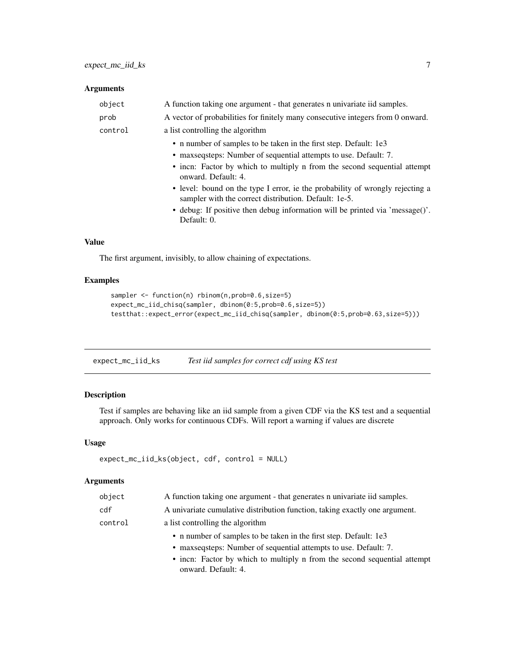#### <span id="page-6-0"></span>Arguments

| object  | A function taking one argument - that generates n univariate iid samples.                                                                                                                                                                                                                                                                                                                                                                                                         |
|---------|-----------------------------------------------------------------------------------------------------------------------------------------------------------------------------------------------------------------------------------------------------------------------------------------------------------------------------------------------------------------------------------------------------------------------------------------------------------------------------------|
| prob    | A vector of probabilities for finitely many consecutive integers from 0 onward.                                                                                                                                                                                                                                                                                                                                                                                                   |
| control | a list controlling the algorithm                                                                                                                                                                                                                                                                                                                                                                                                                                                  |
|         | • n number of samples to be taken in the first step. Default: 1e3<br>• maxseqsteps: Number of sequential attempts to use. Default: 7.<br>• incn: Factor by which to multiply n from the second sequential attempt<br>onward. Default: 4.<br>• level: bound on the type I error, ie the probability of wrongly rejecting a<br>sampler with the correct distribution. Default: 1e-5.<br>• debug: If positive then debug information will be printed via 'message()'.<br>Default: 0. |
|         |                                                                                                                                                                                                                                                                                                                                                                                                                                                                                   |

#### Value

The first argument, invisibly, to allow chaining of expectations.

#### Examples

```
sampler <- function(n) rbinom(n, prob=0.6, size=5)
expect_mc_iid_chisq(sampler, dbinom(0:5,prob=0.6,size=5))
testthat::expect_error(expect_mc_iid_chisq(sampler, dbinom(0:5,prob=0.63,size=5)))
```

| expect_mc_iid_ks | Test iid samples for correct cdf using KS test |  |
|------------------|------------------------------------------------|--|
|                  |                                                |  |

#### Description

Test if samples are behaving like an iid sample from a given CDF via the KS test and a sequential approach. Only works for continuous CDFs. Will report a warning if values are discrete

#### Usage

```
expect_mc_iid_ks(object, cdf, control = NULL)
```
#### Arguments

| object  | A function taking one argument - that generates n univariate iid samples.   |
|---------|-----------------------------------------------------------------------------|
| cdf     | A univariate cumulative distribution function, taking exactly one argument. |
| control | a list controlling the algorithm                                            |
|         | • n number of samples to be taken in the first step. Default: 1e3           |
|         | • maxsequential attempts to use. Default: 7.                                |
|         | • incn: Factor by which to multiply n from the second sequential attempt    |
|         | onward. Default: 4.                                                         |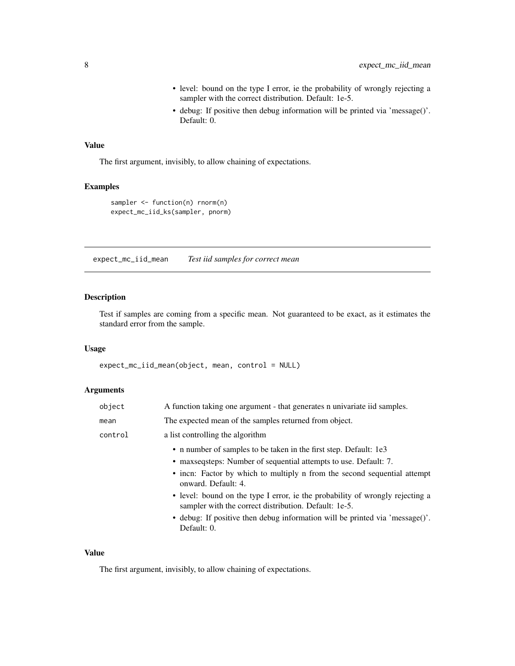- level: bound on the type I error, ie the probability of wrongly rejecting a sampler with the correct distribution. Default: 1e-5.
- debug: If positive then debug information will be printed via 'message()'. Default: 0.

#### <span id="page-7-0"></span>Value

The first argument, invisibly, to allow chaining of expectations.

#### Examples

```
sampler <- function(n) rnorm(n)
expect_mc_iid_ks(sampler, pnorm)
```
expect\_mc\_iid\_mean *Test iid samples for correct mean*

#### Description

Test if samples are coming from a specific mean. Not guaranteed to be exact, as it estimates the standard error from the sample.

#### Usage

expect\_mc\_iid\_mean(object, mean, control = NULL)

#### Arguments

| object  | A function taking one argument - that generates n univariate iid samples.                                                              |
|---------|----------------------------------------------------------------------------------------------------------------------------------------|
| mean    | The expected mean of the samples returned from object.                                                                                 |
| control | a list controlling the algorithm                                                                                                       |
|         | • n number of samples to be taken in the first step. Default: 1e3                                                                      |
|         | • maxsequential attempts to use. Default: 7.                                                                                           |
|         | • incn: Factor by which to multiply n from the second sequential attempt<br>onward. Default: 4.                                        |
|         | • level: bound on the type I error, ie the probability of wrongly rejecting a<br>sampler with the correct distribution. Default: 1e-5. |
|         | • debug: If positive then debug information will be printed via 'message()'.<br>Default: 0.                                            |
|         |                                                                                                                                        |

#### Value

The first argument, invisibly, to allow chaining of expectations.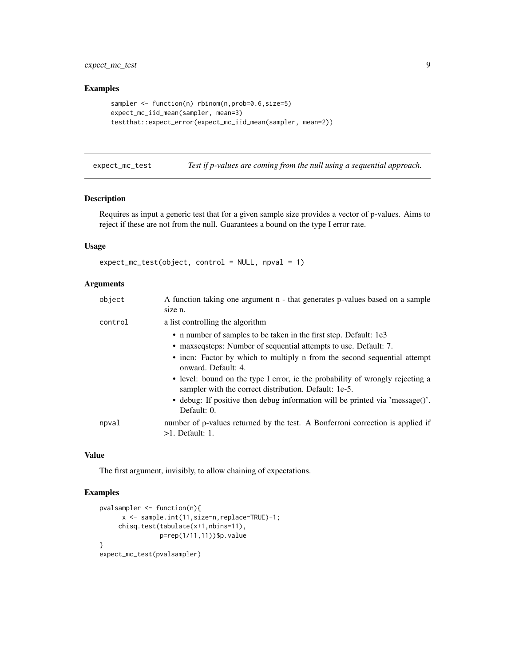<span id="page-8-0"></span>expect\_mc\_test 9

#### Examples

```
sampler <- function(n) rbinom(n, prob=0.6, size=5)
expect_mc_iid_mean(sampler, mean=3)
testthat::expect_error(expect_mc_iid_mean(sampler, mean=2))
```
expect\_mc\_test *Test if p-values are coming from the null using a sequential approach.*

#### Description

Requires as input a generic test that for a given sample size provides a vector of p-values. Aims to reject if these are not from the null. Guarantees a bound on the type I error rate.

#### Usage

```
expect_mc_test(object, control = NULL, npval = 1)
```
#### Arguments

| object  | A function taking one argument n - that generates p-values based on a sample<br>size n.                                                |
|---------|----------------------------------------------------------------------------------------------------------------------------------------|
| control | a list controlling the algorithm<br>• n number of samples to be taken in the first step. Default: 1e3                                  |
|         | • maxsequential attempts to use. Default: 7.                                                                                           |
|         | • incn: Factor by which to multiply n from the second sequential attempt<br>onward. Default: 4.                                        |
|         | • level: bound on the type I error, ie the probability of wrongly rejecting a<br>sampler with the correct distribution. Default: 1e-5. |
|         | • debug: If positive then debug information will be printed via 'message()'.<br>Default: 0.                                            |
| npval   | number of p-values returned by the test. A Bonferroni correction is applied if<br>$>1$ . Default: 1.                                   |

#### Value

The first argument, invisibly, to allow chaining of expectations.

#### Examples

```
pvalsampler <- function(n){
     x <- sample.int(11,size=n,replace=TRUE)-1;
    chisq.test(tabulate(x+1,nbins=11),
               p=rep(1/11,11))$p.value
}
expect_mc_test(pvalsampler)
```